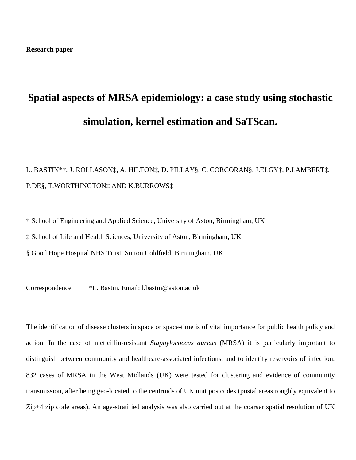# **Spatial aspects of MRSA epidemiology: a case study using stochastic simulation, kernel estimation and SaTScan.**

# L. BASTIN\*†, J. ROLLASON‡, A. HILTON‡, D. PILLAY§, C. CORCORAN§, J.ELGY†, P.LAMBERT‡, P.DE§, T.WORTHINGTON‡ AND K.BURROWS‡

† School of Engineering and Applied Science, University of Aston, Birmingham, UK

‡ School of Life and Health Sciences, University of Aston, Birmingham, UK

§ Good Hope Hospital NHS Trust, Sutton Coldfield, Birmingham, UK

Correspondence \*L. Bastin. Email: [l.bastin@aston.ac.uk](mailto:l.bastin@aston.ac.uk)

The identification of disease clusters in space or space-time is of vital importance for public health policy and action. In the case of meticillin-resistant *Staphylococcus aureus* (MRSA) it is particularly important to distinguish between community and healthcare-associated infections, and to identify reservoirs of infection. 832 cases of MRSA in the West Midlands (UK) were tested for clustering and evidence of community transmission, after being geo-located to the centroids of UK unit postcodes (postal areas roughly equivalent to Zip+4 zip code areas). An age-stratified analysis was also carried out at the coarser spatial resolution of UK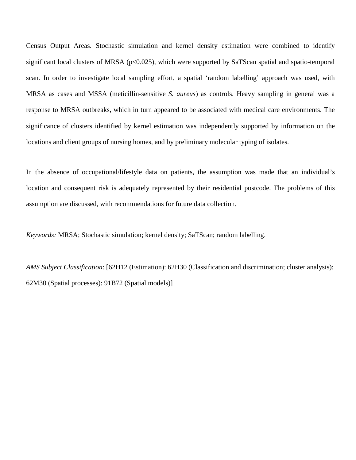Census Output Areas. Stochastic simulation and kernel density estimation were combined to identify significant local clusters of MRSA (p<0.025), which were supported by SaTScan spatial and spatio-temporal scan. In order to investigate local sampling effort, a spatial 'random labelling' approach was used, with MRSA as cases and MSSA (meticillin-sensitive *S. aureus*) as controls. Heavy sampling in general was a response to MRSA outbreaks, which in turn appeared to be associated with medical care environments. The significance of clusters identified by kernel estimation was independently supported by information on the locations and client groups of nursing homes, and by preliminary molecular typing of isolates.

In the absence of occupational/lifestyle data on patients, the assumption was made that an individual's location and consequent risk is adequately represented by their residential postcode. The problems of this assumption are discussed, with recommendations for future data collection.

*Keywords:* MRSA; Stochastic simulation; kernel density; SaTScan; random labelling.

*AMS Subject Classification*: [62H12 (Estimation): 62H30 (Classification and discrimination; cluster analysis): 62M30 (Spatial processes): 91B72 (Spatial models)]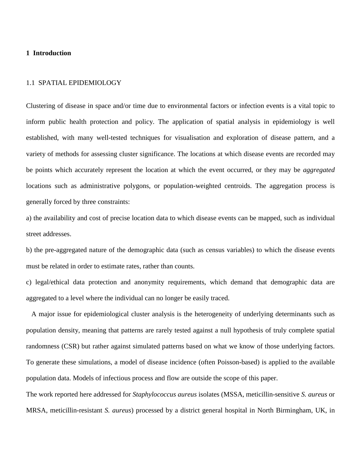# **1 Introduction**

#### 1.1 SPATIAL EPIDEMIOLOGY

Clustering of disease in space and/or time due to environmental factors or infection events is a vital topic to inform public health protection and policy. The application of spatial analysis in epidemiology is well established, with many well-tested techniques for visualisation and exploration of disease pattern, and a variety of methods for assessing cluster significance. The locations at which disease events are recorded may be points which accurately represent the location at which the event occurred, or they may be *aggregated*  locations such as administrative polygons, or population-weighted centroids. The aggregation process is generally forced by three constraints:

a) the availability and cost of precise location data to which disease events can be mapped, such as individual street addresses.

b) the pre-aggregated nature of the demographic data (such as census variables) to which the disease events must be related in order to estimate rates, rather than counts.

c) legal/ethical data protection and anonymity requirements, which demand that demographic data are aggregated to a level where the individual can no longer be easily traced.

 A major issue for epidemiological cluster analysis is the heterogeneity of underlying determinants such as population density, meaning that patterns are rarely tested against a null hypothesis of truly complete spatial randomness (CSR) but rather against simulated patterns based on what we know of those underlying factors. To generate these simulations, a model of disease incidence (often Poisson-based) is applied to the available population data. Models of infectious process and flow are outside the scope of this paper.

The work reported here addressed for *Staphylococcus aureus* isolates (MSSA, meticillin-sensitive *S. aureus* or MRSA, meticillin-resistant *S. aureus*) processed by a district general hospital in North Birmingham, UK, in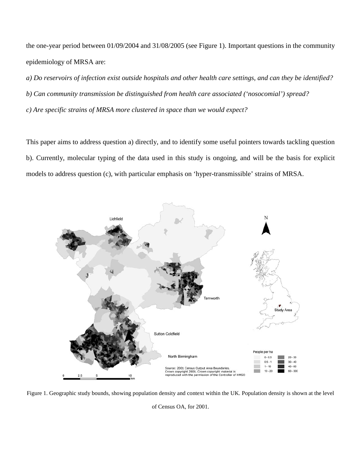the one-year period between 01/09/2004 and 31/08/2005 (see Figure 1). Important questions in the community epidemiology of MRSA are:

*a) Do reservoirs of infection exist outside hospitals and other health care settings, and can they be identified? b) Can community transmission be distinguished from health care associated ('nosocomial') spread? c) Are specific strains of MRSA more clustered in space than we would expect?*

This paper aims to address question a) directly, and to identify some useful pointers towards tackling question b). Currently, molecular typing of the data used in this study is ongoing, and will be the basis for explicit models to address question (c), with particular emphasis on 'hyper-transmissible' strains of MRSA.



Figure 1. Geographic study bounds, showing population density and context within the UK. Population density is shown at the level

of Census OA, for 2001.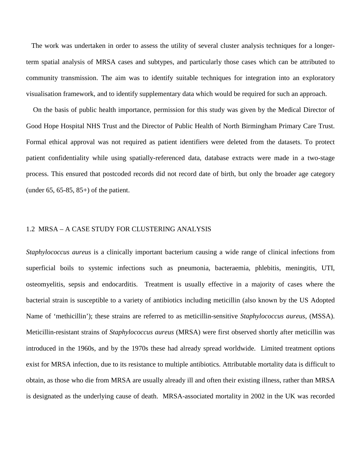The work was undertaken in order to assess the utility of several cluster analysis techniques for a longerterm spatial analysis of MRSA cases and subtypes, and particularly those cases which can be attributed to community transmission. The aim was to identify suitable techniques for integration into an exploratory visualisation framework, and to identify supplementary data which would be required for such an approach.

 On the basis of public health importance, permission for this study was given by the Medical Director of Good Hope Hospital NHS Trust and the Director of Public Health of North Birmingham Primary Care Trust. Formal ethical approval was not required as patient identifiers were deleted from the datasets. To protect patient confidentiality while using spatially-referenced data, database extracts were made in a two-stage process. This ensured that postcoded records did not record date of birth, but only the broader age category (under 65, 65-85, 85+) of the patient.

#### 1.2 MRSA – A CASE STUDY FOR CLUSTERING ANALYSIS

*Staphylococcus aureus* is a clinically important bacterium causing a wide range of clinical infections from superficial boils to systemic infections such as pneumonia, bacteraemia, phlebitis, meningitis, UTI, osteomyelitis, sepsis and endocarditis. Treatment is usually effective in a majority of cases where the bacterial strain is susceptible to a variety of antibiotics including meticillin (also known by the US Adopted Name of 'methicillin'); these strains are referred to as meticillin-sensitive *Staphylococcus aureus*, (MSSA). Meticillin-resistant strains of *Staphylococcus aureus* (MRSA) were first observed shortly after meticillin was introduced in the 1960s, and by the 1970s these had already spread worldwide. Limited treatment options exist for MRSA infection, due to its resistance to multiple antibiotics. Attributable mortality data is difficult to obtain, as those who die from MRSA are usually already ill and often their existing illness, rather than MRSA is designated as the underlying cause of death. MRSA-associated mortality in 2002 in the UK was recorded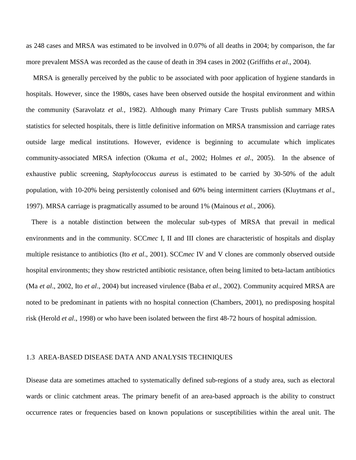as 248 cases and MRSA was estimated to be involved in 0.07% of all deaths in 2004; by comparison, the far more prevalent MSSA was recorded as the cause of death in 394 cases in 2002 (Griffiths *et al*., 2004).

 MRSA is generally perceived by the public to be associated with poor application of hygiene standards in hospitals. However, since the 1980s, cases have been observed outside the hospital environment and within the community (Saravolatz *et al.,* 1982). Although many Primary Care Trusts publish summary MRSA statistics for selected hospitals, there is little definitive information on MRSA transmission and carriage rates outside large medical institutions. However, evidence is beginning to accumulate which implicates community-associated MRSA infection (Okuma *et al*., 2002; Holmes *et al*., 2005). In the absence of exhaustive public screening, *Staphylococcus aureus* is estimated to be carried by 30-50% of the adult population, with 10-20% being persistently colonised and 60% being intermittent carriers (Kluytmans *et al*., 1997). MRSA carriage is pragmatically assumed to be around 1% (Mainous *et al.,* 2006).

 There is a notable distinction between the molecular sub-types of MRSA that prevail in medical environments and in the community. SCC*mec* I, II and III clones are characteristic of hospitals and display multiple resistance to antibiotics (Ito *et al*., 2001). SCC*mec* IV and V clones are commonly observed outside hospital environments; they show restricted antibiotic resistance, often being limited to beta-lactam antibiotics (Ma *et al*., 2002, Ito *et al*., 2004) but increased virulence (Baba *et al*., 2002). Community acquired MRSA are noted to be predominant in patients with no hospital connection (Chambers, 2001), no predisposing hospital risk (Herold *et al*., 1998) or who have been isolated between the first 48-72 hours of hospital admission.

#### 1.3 AREA-BASED DISEASE DATA AND ANALYSIS TECHNIQUES

Disease data are sometimes attached to systematically defined sub-regions of a study area, such as electoral wards or clinic catchment areas. The primary benefit of an area-based approach is the ability to construct occurrence rates or frequencies based on known populations or susceptibilities within the areal unit. The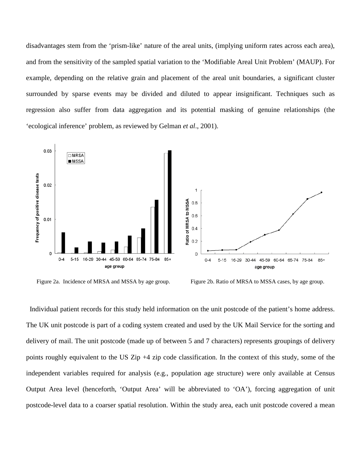disadvantages stem from the 'prism-like' nature of the areal units, (implying uniform rates across each area), and from the sensitivity of the sampled spatial variation to the 'Modifiable Areal Unit Problem' (MAUP). For example, depending on the relative grain and placement of the areal unit boundaries, a significant cluster surrounded by sparse events may be divided and diluted to appear insignificant. Techniques such as regression also suffer from data aggregation and its potential masking of genuine relationships (the 'ecological inference' problem, as reviewed by Gelman *et al*., 2001).



Figure 2a. Incidence of MRSA and MSSA by age group. Figure 2b. Ratio of MRSA to MSSA cases, by age group.

 Individual patient records for this study held information on the unit postcode of the patient's home address. The UK unit postcode is part of a coding system created and used by the UK Mail Service for the sorting and delivery of mail. The unit postcode (made up of between 5 and 7 characters) represents groupings of delivery points roughly equivalent to the US Zip +4 zip code classification. In the context of this study, some of the independent variables required for analysis (e.g., population age structure) were only available at Census Output Area level (henceforth, 'Output Area' will be abbreviated to 'OA'), forcing aggregation of unit postcode-level data to a coarser spatial resolution. Within the study area, each unit postcode covered a mean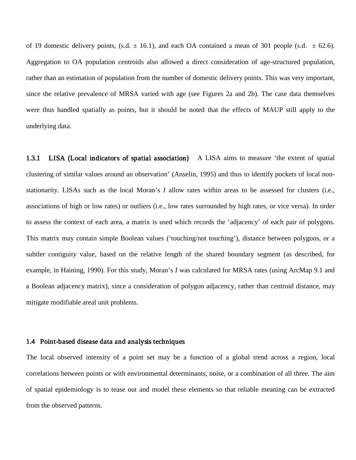of 19 domestic delivery points, (s.d.  $\pm$  16.1), and each OA contained a mean of 301 people (s.d.  $\pm$  62.6). Aggregation to OA population centroids also allowed a direct consideration of age-structured population, rather than an estimation of population from the number of domestic delivery points. This was very important, since the relative prevalence of MRSA varied with age (see Figures 2a and 2b). The case data themselves were thus handled spatially as points, but it should be noted that the effects of MAUP still apply to the underlying data.

1.3.1 LISA (Local indicators of spatial association) A LISA aims to measure 'the extent of spatial clustering of similar values around an observation' (Anselin, 1995) and thus to identify pockets of local nonstationarity. LISAs such as the local Moran's *I* allow rates within areas to be assessed for clusters (i.e., associations of high or low rates) or outliers (i.e., low rates surrounded by high rates, or vice versa). In order to assess the context of each area, a matrix is used which records the 'adjacency' of each pair of polygons. This matrix may contain simple Boolean values ('touching/not touching'), distance between polygons, or a subtler contiguity value, based on the relative length of the shared boundary segment (as described, for example, in Haining, 1990). For this study, Moran's *I* was calculated for MRSA rates (using ArcMap 9.1 and a Boolean adjacency matrix), since a consideration of polygon adjacency, rather than centroid distance, may mitigate modifiable areal unit problems.

#### 1.4 Point-based disease data and analysis techniques

The local observed intensity of a point set may be a function of a global trend across a region, local correlations between points or with environmental determinants, noise, or a combination of all three. The aim of spatial epidemiology is to tease out and model these elements so that reliable meaning can be extracted from the observed patterns.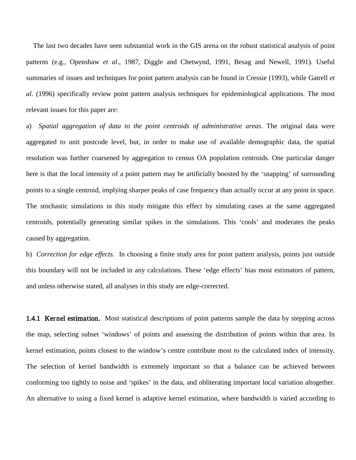The last two decades have seen substantial work in the GIS arena on the robust statistical analysis of point patterns (e.g., Openshaw *et al*., 1987, Diggle and Chetwynd, 1991, Besag and Newell, 1991). Useful summaries of issues and techniques for point pattern analysis can be found in Cressie (1993), while Gatrell *et al.* (1996) specifically review point pattern analysis techniques for epidemiological applications. The most relevant issues for this paper are:

a) *Spatial aggregation of data to the point centroids of administrative areas*. The original data were aggregated to unit postcode level, but, in order to make use of available demographic data, the spatial resolution was further coarsened by aggregation to census OA population centroids. One particular danger here is that the local intensity of a point pattern may be artificially boosted by the 'snapping' of surrounding points to a single centroid, implying sharper peaks of case frequency than actually occur at any point in space. The stochastic simulations in this study mitigate this effect by simulating cases at the same aggregated centroids, potentially generating similar spikes in the simulations. This 'cools' and moderates the peaks caused by aggregation.

b) *Correction for edge effects*. In choosing a finite study area for point pattern analysis, points just outside this boundary will not be included in any calculations. These 'edge effects' bias most estimators of pattern, and unless otherwise stated, all analyses in this study are edge-corrected.

1.4.1 Kernel estimation. Most statistical descriptions of point patterns sample the data by stepping across the map, selecting subset 'windows' of points and assessing the distribution of points within that area. In kernel estimation, points closest to the window's centre contribute most to the calculated index of intensity. The selection of kernel bandwidth is extremely important so that a balance can be achieved between conforming too tightly to noise and 'spikes' in the data, and obliterating important local variation altogether. An alternative to using a fixed kernel is adaptive kernel estimation, where bandwidth is varied according to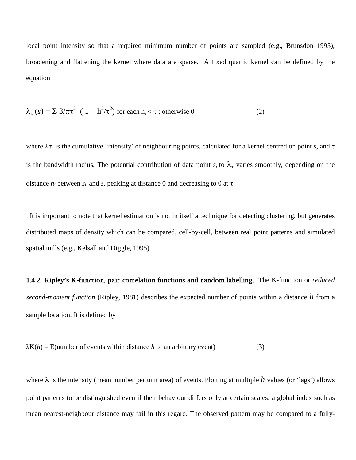local point intensity so that a required minimum number of points are sampled (e.g., Brunsdon 1995), broadening and flattening the kernel where data are sparse. A fixed quartic kernel can be defined by the equation

$$
\lambda_{\tau}(s) = \Sigma 3/\pi \tau^2 (1 - h^2/\tau^2) \text{ for each } h_i < \tau \text{ ; otherwise } 0 \tag{2}
$$

where λτ is the cumulative 'intensity' of neighbouring points, calculated for a kernel centred on point *s,* and τ is the bandwidth radius. The potential contribution of data point  $s_i$  to  $\lambda_\tau$  varies smoothly, depending on the distance  $h_i$  between  $s_i$  and  $s$ , peaking at distance 0 and decreasing to 0 at  $\tau$ .

 It is important to note that kernel estimation is not in itself a technique for detecting clustering, but generates distributed maps of density which can be compared, cell-by-cell, between real point patterns and simulated spatial nulls (e.g., Kelsall and Diggle, 1995).

1.4.2 Ripley's K-function, pair correlation functions and random labelling. The K-function or *reduced second-moment function* (Ripley, 1981) describes the expected number of points within a distance *h* from a sample location. It is defined by

$$
\lambda K(h) = E(number of events within distance h of an arbitrary event)
$$
\n(3)

where λ is the intensity (mean number per unit area) of events. Plotting at multiple *h* values (or 'lags') allows point patterns to be distinguished even if their behaviour differs only at certain scales; a global index such as mean nearest-neighbour distance may fail in this regard. The observed pattern may be compared to a fully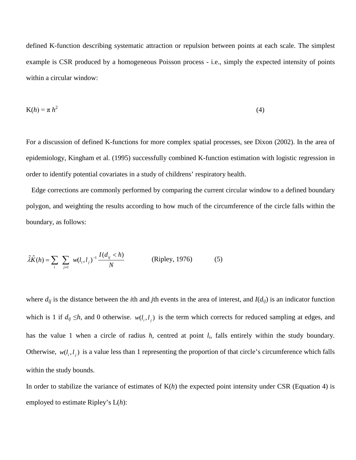defined K-function describing systematic attraction or repulsion between points at each scale. The simplest example is CSR produced by a homogeneous Poisson process - i.e., simply the expected intensity of points within a circular window:

$$
K(h) = \pi h^2
$$
 (4)

For a discussion of defined K-functions for more complex spatial processes, see Dixon (2002). In the area of epidemiology, Kingham et al. (1995) successfully combined K-function estimation with logistic regression in order to identify potential covariates in a study of childrens' respiratory health.

 Edge corrections are commonly performed by comparing the current circular window to a defined boundary polygon, and weighting the results according to how much of the circumference of the circle falls within the boundary, as follows:

$$
\hat{\lambda}\hat{K}(h) = \sum_{i} \sum_{j \neq 1} w(l_i, l_j)^{-1} \frac{I(d_{ij} < h)}{N} \quad \text{(Ripley, 1976)} \tag{5}
$$

where  $d_{ij}$  is the distance between the *i*th and *j*th events in the area of interest, and  $I(d_{ij})$  is an indicator function which is 1 if  $d_{ij} \leq h$ , and 0 otherwise.  $w(l_i, l_i)$  is the term which corrects for reduced sampling at edges, and has the value 1 when a circle of radius *h*, centred at point *li*, falls entirely within the study boundary. Otherwise,  $w(l_i, l_i)$  is a value less than 1 representing the proportion of that circle's circumference which falls within the study bounds.

In order to stabilize the variance of estimates of K(*h*) the expected point intensity under CSR (Equation 4) is employed to estimate Ripley's L(*h*):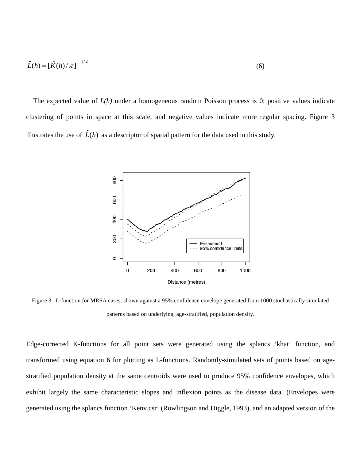$$
\hat{L}(h) = \left[\hat{K}(h)/\pi\right]^{-1/2} \tag{6}
$$

The expected value of  $L(h)$  under a homogeneous random Poisson process is 0; positive values indicate clustering of points in space at this scale, and negative values indicate more regular spacing. Figure 3 illustrates the use of  $\hat{L}(h)$  as a descriptor of spatial pattern for the data used in this study.



Figure 3. L-function for MRSA cases, shown against a 95% confidence envelope generated from 1000 stochastically simulated patterns based on underlying, age-stratified, population density.

Edge-corrected K-functions for all point sets were generated using the splancs 'khat' function, and transformed using equation 6 for plotting as L-functions. Randomly-simulated sets of points based on agestratified population density at the same centroids were used to produce 95% confidence envelopes, which exhibit largely the same characteristic slopes and inflexion points as the disease data. (Envelopes were generated using the splancs function 'Kenv.csr' (Rowlingson and Diggle, 1993), and an adapted version of the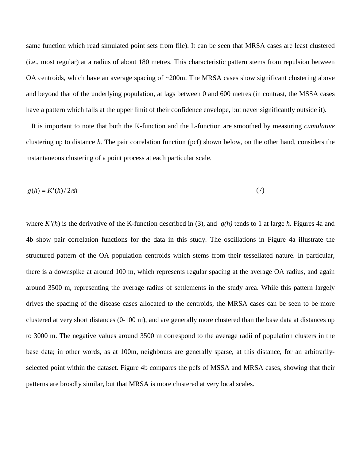same function which read simulated point sets from file). It can be seen that MRSA cases are least clustered (i.e., most regular) at a radius of about 180 metres. This characteristic pattern stems from repulsion between OA centroids, which have an average spacing of ~200m. The MRSA cases show significant clustering above and beyond that of the underlying population, at lags between 0 and 600 metres (in contrast, the MSSA cases have a pattern which falls at the upper limit of their confidence envelope, but never significantly outside it).

 It is important to note that both the K-function and the L-function are smoothed by measuring *cumulative*  clustering up to distance *h.* The pair correlation function (pcf) shown below, on the other hand, considers the instantaneous clustering of a point process at each particular scale.

$$
g(h) = K'(h)/2\pi h\tag{7}
$$

where  $K'(h)$  is the derivative of the K-function described in (3), and  $g(h)$  tends to 1 at large *h*. Figures 4a and 4b show pair correlation functions for the data in this study. The oscillations in Figure 4a illustrate the structured pattern of the OA population centroids which stems from their tessellated nature. In particular, there is a downspike at around 100 m, which represents regular spacing at the average OA radius, and again around 3500 m, representing the average radius of settlements in the study area. While this pattern largely drives the spacing of the disease cases allocated to the centroids, the MRSA cases can be seen to be more clustered at very short distances (0-100 m), and are generally more clustered than the base data at distances up to 3000 m. The negative values around 3500 m correspond to the average radii of population clusters in the base data; in other words, as at 100m, neighbours are generally sparse, at this distance, for an arbitrarilyselected point within the dataset. Figure 4b compares the pcfs of MSSA and MRSA cases, showing that their patterns are broadly similar, but that MRSA is more clustered at very local scales.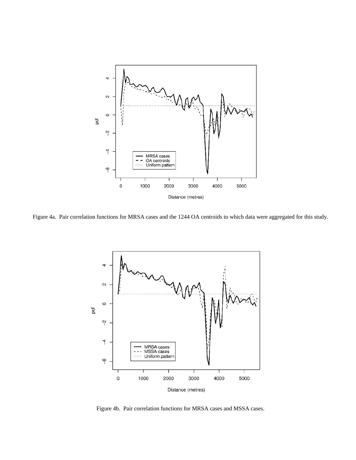

Figure 4a. Pair correlation functions for MRSA cases and the 1244 OA centroids to which data were aggregated for this study.



Figure 4b. Pair correlation functions for MRSA cases and MSSA cases.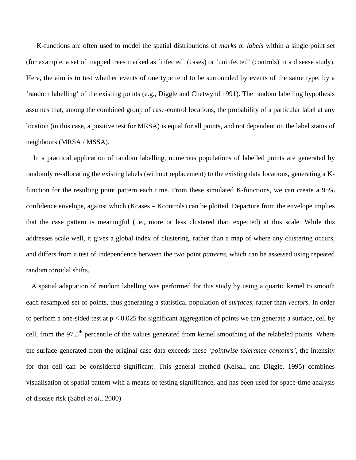K-functions are often used to model the spatial distributions of *marks* or *labels* within a single point set (for example, a set of mapped trees marked as 'infected' (cases) or 'uninfected' (controls) in a disease study). Here, the aim is to test whether events of one type tend to be surrounded by events of the same type, by a 'random labelling' of the existing points (e.g., Diggle and Chetwynd 1991). The random labelling hypothesis assumes that, among the combined group of case-control locations, the probability of a particular label at any location (in this case, a positive test for MRSA) is equal for all points, and not dependent on the label status of neighbours (MRSA / MSSA).

 In a practical application of random labelling, numerous populations of labelled points are generated by randomly re-allocating the existing labels (without replacement) to the existing data locations, generating a Kfunction for the resulting point pattern each time. From these simulated K-functions, we can create a 95% confidence envelope, against which (Kcases – Kcontrols) can be plotted. Departure from the envelope implies that the case pattern is meaningful (i.e., more or less clustered than expected) at this scale. While this addresses scale well, it gives a global index of clustering, rather than a map of where any clustering occurs, and differs from a test of independence between the two point *patterns*, which can be assessed using repeated random toroidal shifts.

 A spatial adaptation of random labelling was performed for this study by using a quartic kernel to smooth each resampled set of points, thus generating a statistical population of *surfaces*, rather than *vectors.* In order to perform a one-sided test at p < 0.025 for significant aggregation of points we can generate a surface, cell by cell, from the 97.5<sup>th</sup> percentile of the values generated from kernel smoothing of the relabeled points. Where the surface generated from the original case data exceeds these '*pointwise tolerance contours'*, the intensity for that cell can be considered significant. This general method (Kelsall and Diggle, 1995) combines visualisation of spatial pattern with a means of testing significance, and has been used for space-time analysis of disease risk (Sabel *et al*., 2000)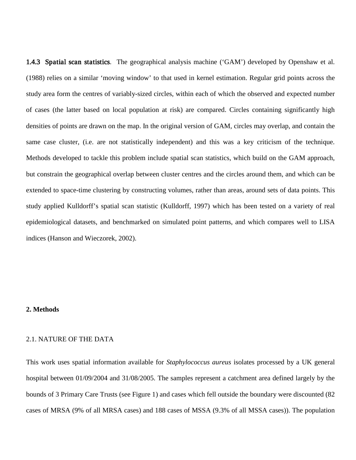1.4.3 Spatial scan statistics. The geographical analysis machine ('GAM') developed by Openshaw et al. (1988) relies on a similar 'moving window' to that used in kernel estimation. Regular grid points across the study area form the centres of variably-sized circles, within each of which the observed and expected number of cases (the latter based on local population at risk) are compared. Circles containing significantly high densities of points are drawn on the map. In the original version of GAM, circles may overlap, and contain the same case cluster, (i.e. are not statistically independent) and this was a key criticism of the technique. Methods developed to tackle this problem include spatial scan statistics, which build on the GAM approach, but constrain the geographical overlap between cluster centres and the circles around them, and which can be extended to space-time clustering by constructing volumes, rather than areas, around sets of data points. This study applied Kulldorff's spatial scan statistic (Kulldorff, 1997) which has been tested on a variety of real epidemiological datasets, and benchmarked on simulated point patterns, and which compares well to LISA indices (Hanson and Wieczorek, 2002).

#### **2. Methods**

### 2.1. NATURE OF THE DATA

This work uses spatial information available for *Staphylococcus aureus* isolates processed by a UK general hospital between 01/09/2004 and 31/08/2005. The samples represent a catchment area defined largely by the bounds of 3 Primary Care Trusts (see Figure 1) and cases which fell outside the boundary were discounted (82 cases of MRSA (9% of all MRSA cases) and 188 cases of MSSA (9.3% of all MSSA cases)). The population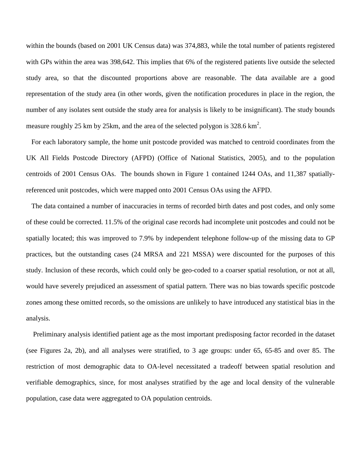within the bounds (based on 2001 UK Census data) was 374,883, while the total number of patients registered with GPs within the area was 398,642. This implies that 6% of the registered patients live outside the selected study area, so that the discounted proportions above are reasonable. The data available are a good representation of the study area (in other words, given the notification procedures in place in the region, the number of any isolates sent outside the study area for analysis is likely to be insignificant). The study bounds measure roughly 25 km by 25km, and the area of the selected polygon is 328.6 km<sup>2</sup>.

 For each laboratory sample, the home unit postcode provided was matched to centroid coordinates from the UK All Fields Postcode Directory (AFPD) (Office of National Statistics, 2005), and to the population centroids of 2001 Census OAs. The bounds shown in Figure 1 contained 1244 OAs, and 11,387 spatiallyreferenced unit postcodes, which were mapped onto 2001 Census OAs using the AFPD.

 The data contained a number of inaccuracies in terms of recorded birth dates and post codes, and only some of these could be corrected. 11.5% of the original case records had incomplete unit postcodes and could not be spatially located; this was improved to 7.9% by independent telephone follow-up of the missing data to GP practices, but the outstanding cases (24 MRSA and 221 MSSA) were discounted for the purposes of this study. Inclusion of these records, which could only be geo-coded to a coarser spatial resolution, or not at all, would have severely prejudiced an assessment of spatial pattern. There was no bias towards specific postcode zones among these omitted records, so the omissions are unlikely to have introduced any statistical bias in the analysis.

 Preliminary analysis identified patient age as the most important predisposing factor recorded in the dataset (see Figures 2a, 2b), and all analyses were stratified, to 3 age groups: under 65, 65-85 and over 85. The restriction of most demographic data to OA-level necessitated a tradeoff between spatial resolution and verifiable demographics, since, for most analyses stratified by the age and local density of the vulnerable population, case data were aggregated to OA population centroids.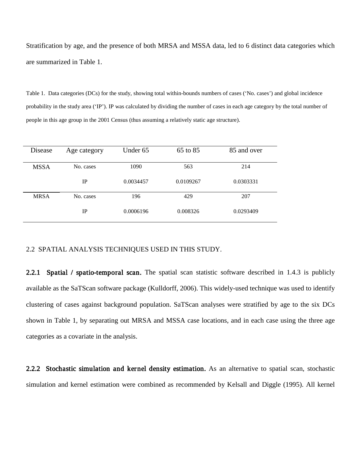Stratification by age, and the presence of both MRSA and MSSA data, led to 6 distinct data categories which are summarized in Table 1.

Table 1. Data categories (DCs) for the study, showing total within-bounds numbers of cases ('No. cases') and global incidence probability in the study area ('IP'). IP was calculated by dividing the number of cases in each age category by the total number of people in this age group in the 2001 Census (thus assuming a relatively static age structure).

| Disease     | Age category | Under 65  | 65 to 85  | 85 and over |
|-------------|--------------|-----------|-----------|-------------|
|             |              |           |           |             |
| <b>MSSA</b> | No. cases    | 1090      | 563       | 214         |
|             | IP           | 0.0034457 | 0.0109267 | 0.0303331   |
| <b>MRSA</b> | No. cases    | 196       | 429       | 207         |
|             | IP           | 0.0006196 | 0.008326  | 0.0293409   |

# 2.2 SPATIAL ANALYSIS TECHNIQUES USED IN THIS STUDY.

2.2.1 Spatial / spatio-temporal scan. The spatial scan statistic software described in 1.4.3 is publicly available as the SaTScan software package (Kulldorff, 2006). This widely-used technique was used to identify clustering of cases against background population. SaTScan analyses were stratified by age to the six DCs shown in Table 1, by separating out MRSA and MSSA case locations, and in each case using the three age categories as a covariate in the analysis.

2.2.2 Stochastic simulation and kernel density estimation. As an alternative to spatial scan, stochastic simulation and kernel estimation were combined as recommended by Kelsall and Diggle (1995). All kernel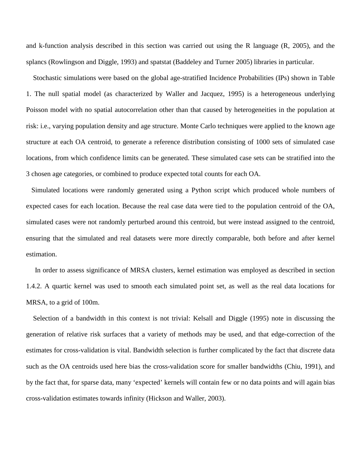and k-function analysis described in this section was carried out using the R language (R, 2005), and the splancs (Rowlingson and Diggle, 1993) and spatstat (Baddeley and Turner 2005) libraries in particular.

 Stochastic simulations were based on the global age-stratified Incidence Probabilities (IPs) shown in Table 1. The null spatial model (as characterized by Waller and Jacquez, 1995) is a heterogeneous underlying Poisson model with no spatial autocorrelation other than that caused by heterogeneities in the population at risk: i.e., varying population density and age structure. Monte Carlo techniques were applied to the known age structure at each OA centroid, to generate a reference distribution consisting of 1000 sets of simulated case locations, from which confidence limits can be generated. These simulated case sets can be stratified into the 3 chosen age categories, or combined to produce expected total counts for each OA.

 Simulated locations were randomly generated using a Python script which produced whole numbers of expected cases for each location. Because the real case data were tied to the population centroid of the OA, simulated cases were not randomly perturbed around this centroid, but were instead assigned to the centroid, ensuring that the simulated and real datasets were more directly comparable, both before and after kernel estimation.

 In order to assess significance of MRSA clusters, kernel estimation was employed as described in section 1.4.2. A quartic kernel was used to smooth each simulated point set, as well as the real data locations for MRSA, to a grid of 100m.

 Selection of a bandwidth in this context is not trivial: Kelsall and Diggle (1995) note in discussing the generation of relative risk surfaces that a variety of methods may be used, and that edge-correction of the estimates for cross-validation is vital. Bandwidth selection is further complicated by the fact that discrete data such as the OA centroids used here bias the cross-validation score for smaller bandwidths (Chiu, 1991), and by the fact that, for sparse data, many 'expected' kernels will contain few or no data points and will again bias cross-validation estimates towards infinity (Hickson and Waller, 2003).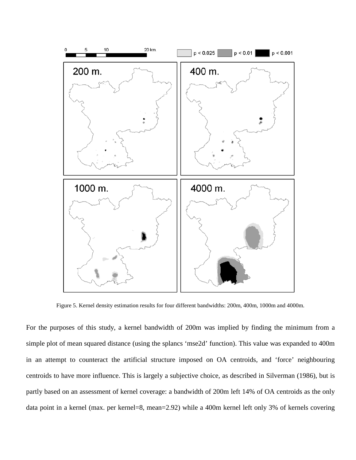

Figure 5. Kernel density estimation results for four different bandwidths: 200m, 400m, 1000m and 4000m.

For the purposes of this study, a kernel bandwidth of 200m was implied by finding the minimum from a simple plot of mean squared distance (using the splancs 'mse2d' function). This value was expanded to 400m in an attempt to counteract the artificial structure imposed on OA centroids, and 'force' neighbouring centroids to have more influence. This is largely a subjective choice, as described in Silverman (1986), but is partly based on an assessment of kernel coverage: a bandwidth of 200m left 14% of OA centroids as the only data point in a kernel (max. per kernel=8, mean=2.92) while a 400m kernel left only 3% of kernels covering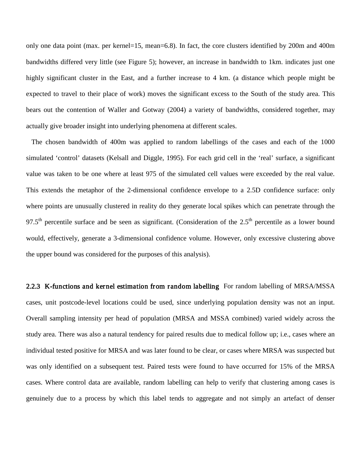only one data point (max. per kernel=15, mean=6.8). In fact, the core clusters identified by 200m and 400m bandwidths differed very little (see Figure 5); however, an increase in bandwidth to 1km. indicates just one highly significant cluster in the East, and a further increase to 4 km. (a distance which people might be expected to travel to their place of work) moves the significant excess to the South of the study area. This bears out the contention of Waller and Gotway (2004) a variety of bandwidths, considered together, may actually give broader insight into underlying phenomena at different scales.

 The chosen bandwidth of 400m was applied to random labellings of the cases and each of the 1000 simulated 'control' datasets (Kelsall and Diggle, 1995). For each grid cell in the 'real' surface, a significant value was taken to be one where at least 975 of the simulated cell values were exceeded by the real value. This extends the metaphor of the 2-dimensional confidence envelope to a 2.5D confidence surface: only where points are unusually clustered in reality do they generate local spikes which can penetrate through the 97.5<sup>th</sup> percentile surface and be seen as significant. (Consideration of the 2.5<sup>th</sup> percentile as a lower bound would, effectively, generate a 3-dimensional confidence volume. However, only excessive clustering above the upper bound was considered for the purposes of this analysis).

2.2.3 K-functions and kernel estimation from random labelling For random labelling of MRSA/MSSA cases, unit postcode-level locations could be used, since underlying population density was not an input. Overall sampling intensity per head of population (MRSA and MSSA combined) varied widely across the study area. There was also a natural tendency for paired results due to medical follow up; i.e., cases where an individual tested positive for MRSA and was later found to be clear, or cases where MRSA was suspected but was only identified on a subsequent test. Paired tests were found to have occurred for 15% of the MRSA cases. Where control data are available, random labelling can help to verify that clustering among cases is genuinely due to a process by which this label tends to aggregate and not simply an artefact of denser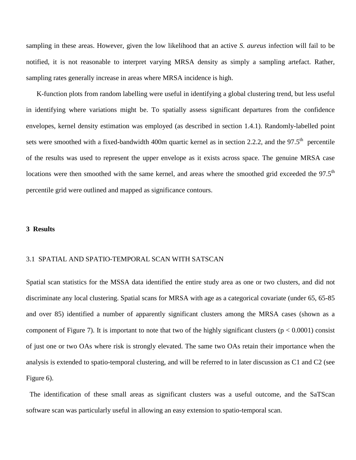sampling in these areas. However, given the low likelihood that an active *S. aureus* infection will fail to be notified, it is not reasonable to interpret varying MRSA density as simply a sampling artefact. Rather, sampling rates generally increase in areas where MRSA incidence is high.

 K-function plots from random labelling were useful in identifying a global clustering trend, but less useful in identifying where variations might be. To spatially assess significant departures from the confidence envelopes, kernel density estimation was employed (as described in section 1.4.1). Randomly-labelled point sets were smoothed with a fixed-bandwidth 400m quartic kernel as in section 2.2.2, and the 97.5<sup>th</sup> percentile of the results was used to represent the upper envelope as it exists across space. The genuine MRSA case locations were then smoothed with the same kernel, and areas where the smoothed grid exceeded the 97.5<sup>th</sup> percentile grid were outlined and mapped as significance contours.

#### **3 Results**

# 3.1 SPATIAL AND SPATIO-TEMPORAL SCAN WITH SATSCAN

Spatial scan statistics for the MSSA data identified the entire study area as one or two clusters, and did not discriminate any local clustering. Spatial scans for MRSA with age as a categorical covariate (under 65, 65-85 and over 85) identified a number of apparently significant clusters among the MRSA cases (shown as a component of Figure 7). It is important to note that two of the highly significant clusters ( $p < 0.0001$ ) consist of just one or two OAs where risk is strongly elevated. The same two OAs retain their importance when the analysis is extended to spatio-temporal clustering, and will be referred to in later discussion as C1 and C2 (see Figure 6).

 The identification of these small areas as significant clusters was a useful outcome, and the SaTScan software scan was particularly useful in allowing an easy extension to spatio-temporal scan.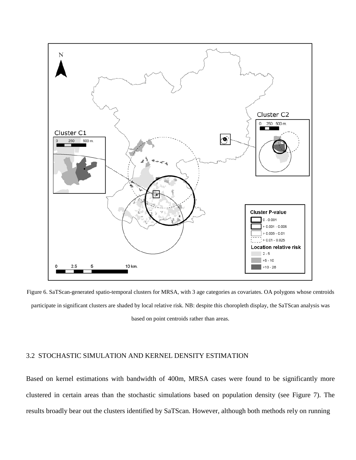

Figure 6. SaTScan-generated spatio-temporal clusters for MRSA, with 3 age categories as covariates. OA polygons whose centroids participate in significant clusters are shaded by local relative risk. NB: despite this choropleth display, the SaTScan analysis was based on point centroids rather than areas.

# 3.2 STOCHASTIC SIMULATION AND KERNEL DENSITY ESTIMATION

Based on kernel estimations with bandwidth of 400m, MRSA cases were found to be significantly more clustered in certain areas than the stochastic simulations based on population density (see Figure 7). The results broadly bear out the clusters identified by SaTScan. However, although both methods rely on running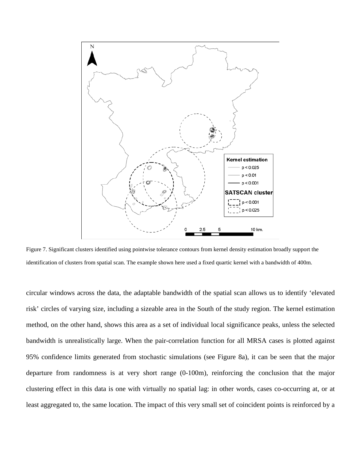

Figure 7. Significant clusters identified using pointwise tolerance contours from kernel density estimation broadly support the identification of clusters from spatial scan. The example shown here used a fixed quartic kernel with a bandwidth of 400m.

circular windows across the data, the adaptable bandwidth of the spatial scan allows us to identify 'elevated risk' circles of varying size, including a sizeable area in the South of the study region. The kernel estimation method, on the other hand, shows this area as a set of individual local significance peaks, unless the selected bandwidth is unrealistically large. When the pair-correlation function for all MRSA cases is plotted against 95% confidence limits generated from stochastic simulations (see Figure 8a), it can be seen that the major departure from randomness is at very short range (0-100m), reinforcing the conclusion that the major clustering effect in this data is one with virtually no spatial lag: in other words, cases co-occurring at, or at least aggregated to, the same location. The impact of this very small set of coincident points is reinforced by a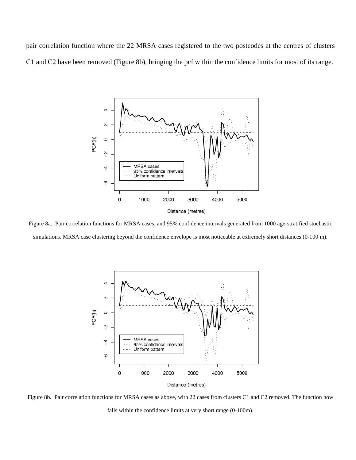pair correlation function where the 22 MRSA cases registered to the two postcodes at the centres of clusters C1 and C2 have been removed (Figure 8b), bringing the pcf within the confidence limits for most of its range.



Figure 8a. Pair correlation functions for MRSA cases, and 95% confidence intervals generated from 1000 age-stratified stochastic simulations. MRSA case clustering beyond the confidence envelope is most noticeable at extremely short distances (0-100 m).



Figure 8b. Pair correlation functions for MRSA cases as above, with 22 cases from clusters C1 and C2 removed. The function now falls within the confidence limits at very short range (0-100m).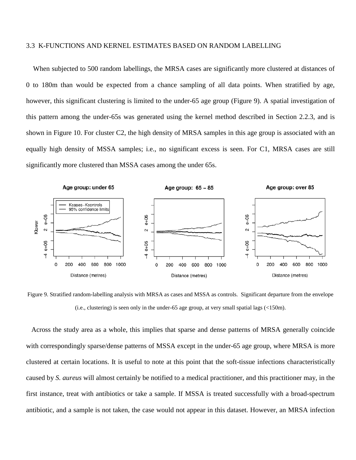### 3.3 K-FUNCTIONS AND KERNEL ESTIMATES BASED ON RANDOM LABELLING

 When subjected to 500 random labellings, the MRSA cases are significantly more clustered at distances of 0 to 180m than would be expected from a chance sampling of all data points. When stratified by age, however, this significant clustering is limited to the under-65 age group (Figure 9). A spatial investigation of this pattern among the under-65s was generated using the kernel method described in Section 2.2.3, and is shown in Figure 10. For cluster C2, the high density of MRSA samples in this age group is associated with an equally high density of MSSA samples; i.e., no significant excess is seen. For C1, MRSA cases are still significantly more clustered than MSSA cases among the under 65s.



Figure 9. Stratified random-labelling analysis with MRSA as cases and MSSA as controls. Significant departure from the envelope (i.e., clustering) is seen only in the under-65 age group, at very small spatial lags (<150m).

 Across the study area as a whole, this implies that sparse and dense patterns of MRSA generally coincide with correspondingly sparse/dense patterns of MSSA except in the under-65 age group, where MRSA is more clustered at certain locations. It is useful to note at this point that the soft-tissue infections characteristically caused by *S. aureus* will almost certainly be notified to a medical practitioner, and this practitioner may, in the first instance, treat with antibiotics or take a sample. If MSSA is treated successfully with a broad-spectrum antibiotic, and a sample is not taken, the case would not appear in this dataset. However, an MRSA infection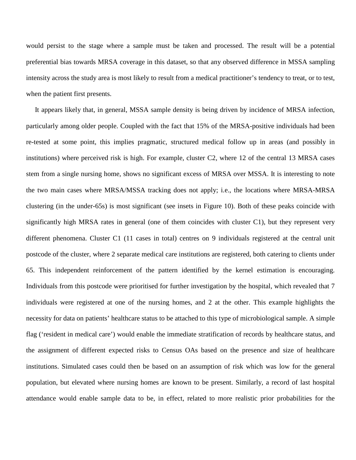would persist to the stage where a sample must be taken and processed. The result will be a potential preferential bias towards MRSA coverage in this dataset, so that any observed difference in MSSA sampling intensity across the study area is most likely to result from a medical practitioner's tendency to treat, or to test, when the patient first presents.

 It appears likely that, in general, MSSA sample density is being driven by incidence of MRSA infection, particularly among older people. Coupled with the fact that 15% of the MRSA-positive individuals had been re-tested at some point, this implies pragmatic, structured medical follow up in areas (and possibly in institutions) where perceived risk is high. For example, cluster C2, where 12 of the central 13 MRSA cases stem from a single nursing home, shows no significant excess of MRSA over MSSA. It is interesting to note the two main cases where MRSA/MSSA tracking does not apply; i.e., the locations where MRSA-MRSA clustering (in the under-65s) is most significant (see insets in Figure 10). Both of these peaks coincide with significantly high MRSA rates in general (one of them coincides with cluster C1), but they represent very different phenomena. Cluster C1 (11 cases in total) centres on 9 individuals registered at the central unit postcode of the cluster, where 2 separate medical care institutions are registered, both catering to clients under 65. This independent reinforcement of the pattern identified by the kernel estimation is encouraging. Individuals from this postcode were prioritised for further investigation by the hospital, which revealed that 7 individuals were registered at one of the nursing homes, and 2 at the other. This example highlights the necessity for data on patients' healthcare status to be attached to this type of microbiological sample. A simple flag ('resident in medical care') would enable the immediate stratification of records by healthcare status, and the assignment of different expected risks to Census OAs based on the presence and size of healthcare institutions. Simulated cases could then be based on an assumption of risk which was low for the general population, but elevated where nursing homes are known to be present. Similarly, a record of last hospital attendance would enable sample data to be, in effect, related to more realistic prior probabilities for the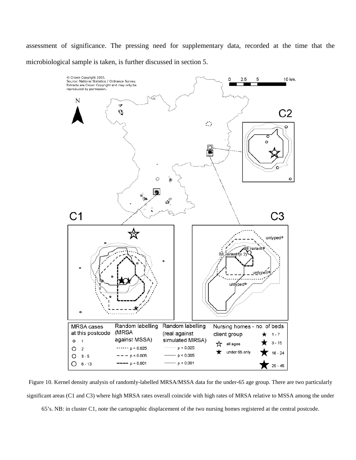assessment of significance. The pressing need for supplementary data, recorded at the time that the microbiological sample is taken, is further discussed in section 5.



Figure 10. Kernel density analysis of randomly-labelled MRSA/MSSA data for the under-65 age group. There are two particularly significant areas (C1 and C3) where high MRSA rates overall coincide with high rates of MRSA relative to MSSA among the under

65's. NB: in cluster C1, note the cartographic displacement of the two nursing homes registered at the central postcode.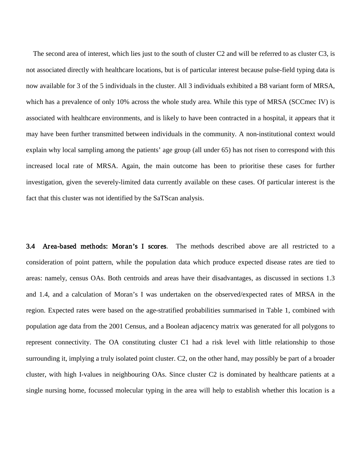The second area of interest, which lies just to the south of cluster C2 and will be referred to as cluster C3, is not associated directly with healthcare locations, but is of particular interest because pulse-field typing data is now available for 3 of the 5 individuals in the cluster. All 3 individuals exhibited a B8 variant form of MRSA, which has a prevalence of only 10% across the whole study area. While this type of MRSA (SCCmec IV) is associated with healthcare environments, and is likely to have been contracted in a hospital, it appears that it may have been further transmitted between individuals in the community. A non-institutional context would explain why local sampling among the patients' age group (all under 65) has not risen to correspond with this increased local rate of MRSA. Again, the main outcome has been to prioritise these cases for further investigation, given the severely-limited data currently available on these cases. Of particular interest is the fact that this cluster was not identified by the SaTScan analysis.

3.4 Area-based methods: Moran's I scores. The methods described above are all restricted to a consideration of point pattern, while the population data which produce expected disease rates are tied to areas: namely, census OAs. Both centroids and areas have their disadvantages, as discussed in sections 1.3 and 1.4, and a calculation of Moran's I was undertaken on the observed/expected rates of MRSA in the region. Expected rates were based on the age-stratified probabilities summarised in Table 1, combined with population age data from the 2001 Census, and a Boolean adjacency matrix was generated for all polygons to represent connectivity. The OA constituting cluster C1 had a risk level with little relationship to those surrounding it, implying a truly isolated point cluster. C2, on the other hand, may possibly be part of a broader cluster, with high I-values in neighbouring OAs. Since cluster C2 is dominated by healthcare patients at a single nursing home, focussed molecular typing in the area will help to establish whether this location is a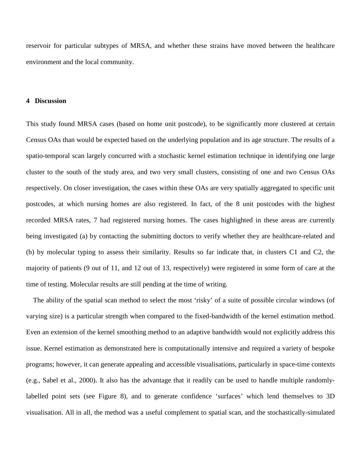reservoir for particular subtypes of MRSA, and whether these strains have moved between the healthcare environment and the local community.

#### **4 Discussion**

This study found MRSA cases (based on home unit postcode), to be significantly more clustered at certain Census OAs than would be expected based on the underlying population and its age structure. The results of a spatio-temporal scan largely concurred with a stochastic kernel estimation technique in identifying one large cluster to the south of the study area, and two very small clusters, consisting of one and two Census OAs respectively. On closer investigation, the cases within these OAs are very spatially aggregated to specific unit postcodes, at which nursing homes are also registered. In fact, of the 8 unit postcodes with the highest recorded MRSA rates, 7 had registered nursing homes. The cases highlighted in these areas are currently being investigated (a) by contacting the submitting doctors to verify whether they are healthcare-related and (b) by molecular typing to assess their similarity. Results so far indicate that, in clusters C1 and C2, the majority of patients (9 out of 11, and 12 out of 13, respectively) were registered in some form of care at the time of testing. Molecular results are still pending at the time of writing.

 The ability of the spatial scan method to select the most 'risky' of a suite of possible circular windows (of varying size) is a particular strength when compared to the fixed-bandwidth of the kernel estimation method. Even an extension of the kernel smoothing method to an adaptive bandwidth would not explicitly address this issue. Kernel estimation as demonstrated here is computationally intensive and required a variety of bespoke programs; however, it can generate appealing and accessible visualisations, particularly in space-time contexts (e.g., Sabel et al., 2000). It also has the advantage that it readily can be used to handle multiple randomlylabelled point sets (see Figure 8), and to generate confidence 'surfaces' which lend themselves to 3D visualisation. All in all, the method was a useful complement to spatial scan, and the stochastically-simulated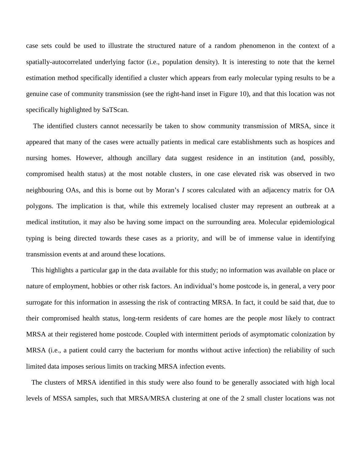case sets could be used to illustrate the structured nature of a random phenomenon in the context of a spatially-autocorrelated underlying factor (i.e., population density). It is interesting to note that the kernel estimation method specifically identified a cluster which appears from early molecular typing results to be a genuine case of community transmission (see the right-hand inset in Figure 10), and that this location was not specifically highlighted by SaTScan.

 The identified clusters cannot necessarily be taken to show community transmission of MRSA, since it appeared that many of the cases were actually patients in medical care establishments such as hospices and nursing homes. However, although ancillary data suggest residence in an institution (and, possibly, compromised health status) at the most notable clusters, in one case elevated risk was observed in two neighbouring OAs, and this is borne out by Moran's *I* scores calculated with an adjacency matrix for OA polygons. The implication is that, while this extremely localised cluster may represent an outbreak at a medical institution, it may also be having some impact on the surrounding area. Molecular epidemiological typing is being directed towards these cases as a priority, and will be of immense value in identifying transmission events at and around these locations.

 This highlights a particular gap in the data available for this study; no information was available on place or nature of employment, hobbies or other risk factors. An individual's home postcode is, in general, a very poor surrogate for this information in assessing the risk of contracting MRSA. In fact, it could be said that, due to their compromised health status, long-term residents of care homes are the people *most* likely to contract MRSA at their registered home postcode. Coupled with intermittent periods of asymptomatic colonization by MRSA (i.e., a patient could carry the bacterium for months without active infection) the reliability of such limited data imposes serious limits on tracking MRSA infection events.

 The clusters of MRSA identified in this study were also found to be generally associated with high local levels of MSSA samples, such that MRSA/MRSA clustering at one of the 2 small cluster locations was not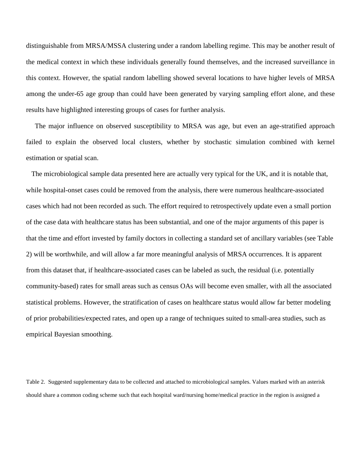distinguishable from MRSA/MSSA clustering under a random labelling regime. This may be another result of the medical context in which these individuals generally found themselves, and the increased surveillance in this context. However, the spatial random labelling showed several locations to have higher levels of MRSA among the under-65 age group than could have been generated by varying sampling effort alone, and these results have highlighted interesting groups of cases for further analysis.

 The major influence on observed susceptibility to MRSA was age, but even an age-stratified approach failed to explain the observed local clusters, whether by stochastic simulation combined with kernel estimation or spatial scan.

 The microbiological sample data presented here are actually very typical for the UK, and it is notable that, while hospital-onset cases could be removed from the analysis, there were numerous healthcare-associated cases which had not been recorded as such. The effort required to retrospectively update even a small portion of the case data with healthcare status has been substantial, and one of the major arguments of this paper is that the time and effort invested by family doctors in collecting a standard set of ancillary variables (see Table 2) will be worthwhile, and will allow a far more meaningful analysis of MRSA occurrences. It is apparent from this dataset that, if healthcare-associated cases can be labeled as such, the residual (i.e. potentially community-based) rates for small areas such as census OAs will become even smaller, with all the associated statistical problems. However, the stratification of cases on healthcare status would allow far better modeling of prior probabilities/expected rates, and open up a range of techniques suited to small-area studies, such as empirical Bayesian smoothing.

Table 2. Suggested supplementary data to be collected and attached to microbiological samples. Values marked with an asterisk should share a common coding scheme such that each hospital ward/nursing home/medical practice in the region is assigned a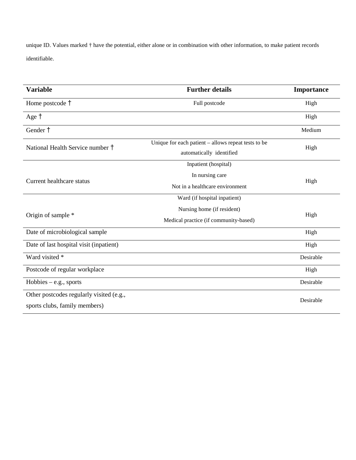unique ID. Values marked † have the potential, either alone or in combination with other information, to make patient records identifiable.

| <b>Variable</b>                          | <b>Further details</b>                                | Importance |  |
|------------------------------------------|-------------------------------------------------------|------------|--|
| Home postcode †                          | Full postcode                                         | High       |  |
| Age †                                    |                                                       | High       |  |
| Gender †                                 |                                                       | Medium     |  |
| National Health Service number †         | Unique for each patient $-$ allows repeat tests to be | High       |  |
|                                          | automatically identified                              |            |  |
|                                          | Inpatient (hospital)                                  |            |  |
| <b>Current healthcare status</b>         | In nursing care                                       | High       |  |
|                                          | Not in a healthcare environment                       |            |  |
|                                          | Ward (if hospital inpatient)                          |            |  |
|                                          | Nursing home (if resident)                            | High       |  |
| Origin of sample *                       | Medical practice (if community-based)                 |            |  |
| Date of microbiological sample           |                                                       | High       |  |
| Date of last hospital visit (inpatient)  |                                                       | High       |  |
| Ward visited *                           |                                                       | Desirable  |  |
| Postcode of regular workplace            |                                                       | High       |  |
| $Hobbies - e.g., sports$                 |                                                       | Desirable  |  |
| Other postcodes regularly visited (e.g., |                                                       | Desirable  |  |
| sports clubs, family members)            |                                                       |            |  |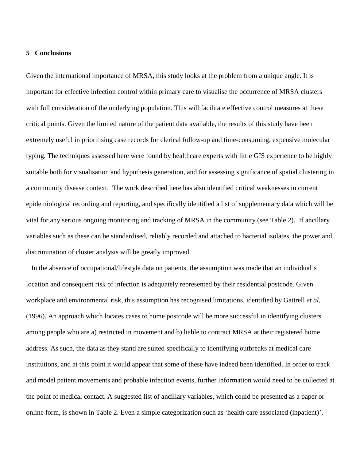### **5 Conclusions**

Given the international importance of MRSA, this study looks at the problem from a unique angle. It is important for effective infection control within primary care to visualise the occurrence of MRSA clusters with full consideration of the underlying population. This will facilitate effective control measures at these critical points. Given the limited nature of the patient data available, the results of this study have been extremely useful in prioritising case records for clerical follow-up and time-consuming, expensive molecular typing. The techniques assessed here were found by healthcare experts with little GIS experience to be highly suitable both for visualisation and hypothesis generation, and for assessing significance of spatial clustering in a community disease context. The work described here has also identified critical weaknesses in current epidemiological recording and reporting, and specifically identified a list of supplementary data which will be vital for any serious ongoing monitoring and tracking of MRSA in the community (see Table 2). If ancillary variables such as these can be standardised, reliably recorded and attached to bacterial isolates, the power and discrimination of cluster analysis will be greatly improved.

 In the absence of occupational/lifestyle data on patients, the assumption was made that an individual's location and consequent risk of infection is adequately represented by their residential postcode. Given workplace and environmental risk, this assumption has recognised limitations, identified by Gattrell *et al*, (1996). An approach which locates cases to home postcode will be more successful in identifying clusters among people who are a) restricted in movement and b) liable to contract MRSA at their registered home address. As such, the data as they stand are suited specifically to identifying outbreaks at medical care institutions, and at this point it would appear that some of these have indeed been identified. In order to track and model patient movements and probable infection events, further information would need to be collected at the point of medical contact. A suggested list of ancillary variables, which could be presented as a paper or online form, is shown in Table 2. Even a simple categorization such as 'health care associated (inpatient)',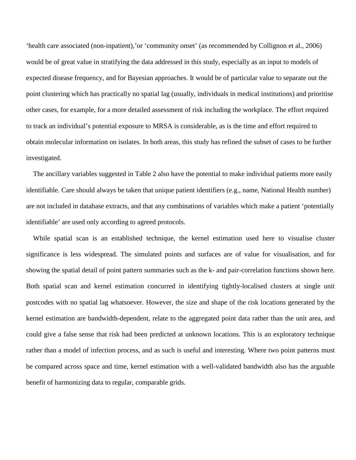'health care associated (non-inpatient),'or 'community onset' (as recommended by Collignon et al., 2006) would be of great value in stratifying the data addressed in this study, especially as an input to models of expected disease frequency, and for Bayesian approaches. It would be of particular value to separate out the point clustering which has practically no spatial lag (usually, individuals in medical institutions) and prioritise other cases, for example, for a more detailed assessment of risk including the workplace. The effort required to track an individual's potential exposure to MRSA is considerable, as is the time and effort required to obtain molecular information on isolates. In both areas, this study has refined the subset of cases to be further investigated.

 The ancillary variables suggested in Table 2 also have the potential to make individual patients more easily identifiable. Care should always be taken that unique patient identifiers (e.g., name, National Health number) are not included in database extracts, and that any combinations of variables which make a patient 'potentially identifiable' are used only according to agreed protocols.

 While spatial scan is an established technique, the kernel estimation used here to visualise cluster significance is less widespread. The simulated points and surfaces are of value for visualisation, and for showing the spatial detail of point pattern summaries such as the k- and pair-correlation functions shown here. Both spatial scan and kernel estimation concurred in identifying tightly-localised clusters at single unit postcodes with no spatial lag whatsoever. However, the size and shape of the risk locations generated by the kernel estimation are bandwidth-dependent, relate to the aggregated point data rather than the unit area, and could give a false sense that risk had been predicted at unknown locations. This is an exploratory technique rather than a model of infection process, and as such is useful and interesting. Where two point patterns must be compared across space and time, kernel estimation with a well-validated bandwidth also has the arguable benefit of harmonizing data to regular, comparable grids.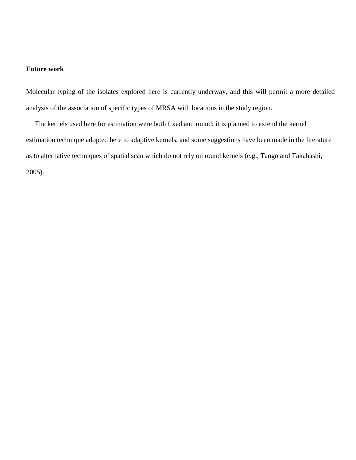#### **Future work**

Molecular typing of the isolates explored here is currently underway, and this will permit a more detailed analysis of the association of specific types of MRSA with locations in the study region.

 The kernels used here for estimation were both fixed and round; it is planned to extend the kernel estimation technique adopted here to adaptive kernels, and some suggestions have been made in the literature as to alternative techniques of spatial scan which do not rely on round kernels (e.g., Tango and Takahashi, 2005).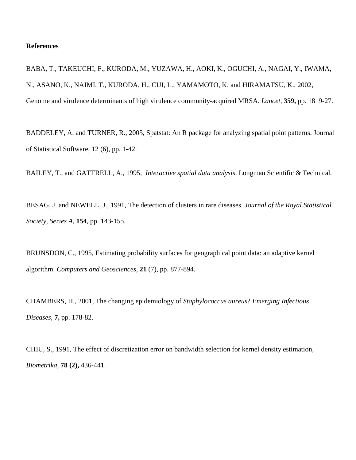#### **References**

BABA, T., TAKEUCHI, F., KURODA, M., YUZAWA, H., AOKI, K., OGUCHI, A., NAGAI, Y., IWAMA, N., ASANO, K., NAIMI, T., KURODA, H., CUI, L., YAMAMOTO, K. and HIRAMATSU, K., 2002, Genome and virulence determinants of high virulence community-acquired MRSA. *Lancet,* **359,** pp. 1819-27.

BADDELEY, A. and TURNER, R., 2005, Spatstat: An R package for analyzing spatial point patterns. Journal of Statistical Software, 12 (6), pp. 1-42.

BAILEY, T., and GATTRELL, A., 1995, *Interactive spatial data analysis*. Longman Scientific & Technical.

BESAG, J. and NEWELL, J., 1991, The detection of clusters in rare diseases. *Journal of the Royal Statistical Society, Series A*, **154**, pp. 143-155.

BRUNSDON, C., 1995, Estimating probability surfaces for geographical point data: an adaptive kernel algorithm. *Computers and Geosciences*, **21** (7), pp. 877-894.

CHAMBERS, H., 2001, The changing epidemiology of *Staphylococcus aureus*? *Emerging Infectious Diseases,* **7,** pp. 178-82.

CHIU, S., 1991, The effect of discretization error on bandwidth selection for kernel density estimation, *Biometrika,* **78 (2),** 436-441.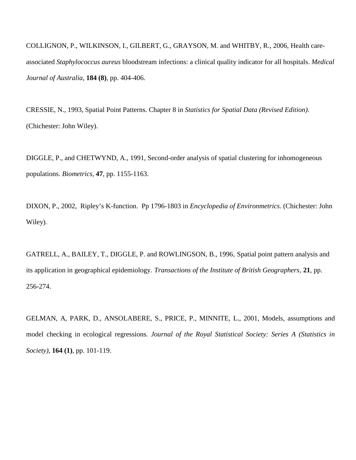COLLIGNON, P., WILKINSON, I., GILBERT, G., GRAYSON, M. and WHITBY, R., 2006, Health careassociated *Staphylococcus aureus* bloodstream infections: a clinical quality indicator for all hospitals. *Medical Journal of Australia,* **184 (8)**, pp. 404-406.

CRESSIE, N., 1993, Spatial Point Patterns. Chapter 8 in *Statistics for Spatial Data (Revised Edition)*. (Chichester: John Wiley).

DIGGLE, P., and CHETWYND, A., 1991, Second-order analysis of spatial clustering for inhomogeneous populations. *Biometrics*, **47**, pp. 1155-1163.

DIXON, P., 2002, Ripley's K-function. Pp 1796-1803 in *Encyclopedia of Environmetrics*. (Chichester: John Wiley).

GATRELL, A., BAILEY, T., DIGGLE, P. and ROWLINGSON, B., 1996, Spatial point pattern analysis and its application in geographical epidemiology. *Transactions of the Institute of British Geographers*, **21**, pp. 256-274.

GELMAN, A, PARK, D., ANSOLABERE, S., PRICE, P., MINNITE, L., 2001, Models, assumptions and model checking in ecological regressions*. Journal of the Royal Statistical Society: Series A (Statistics in Society)*, **164 (1)**, pp. 101-119.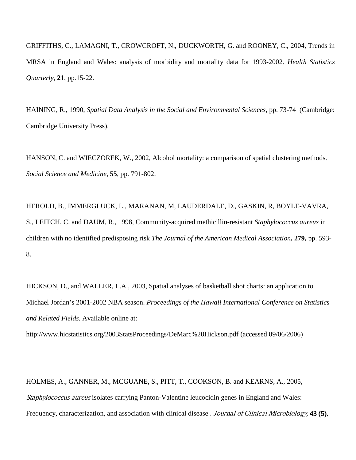GRIFFITHS, C., LAMAGNI, T., CROWCROFT, N., DUCKWORTH, G. and ROONEY, C., 2004, Trends in MRSA in England and Wales: analysis of morbidity and mortality data for 1993-2002. *Health Statistics Quarterly*, **21**, pp.15-22.

HAINING, R., 1990, *Spatial Data Analysis in the Social and Environmental Sciences*, pp. 73-74 (Cambridge: Cambridge University Press).

HANSON, C. and WIECZOREK, W., 2002, Alcohol mortality: a comparison of spatial clustering methods. *Social Science and Medicine*, **55**, pp. 791-802.

HEROLD, B., IMMERGLUCK, L., MARANAN, M, LAUDERDALE, D., GASKIN, R, BOYLE-VAVRA, S., LEITCH, C. and DAUM, R., 1998, Community-acquired methicillin-resistant *Staphylococcus aureus* in children with no identified predisposing risk *[The Journal of the American Medical Association](javascript:AL_get(this,%20)***, 279,** pp. 593- 8.

HICKSON, D., and WALLER, L.A., 2003, Spatial analyses of basketball shot charts: an application to Michael Jordan's 2001-2002 NBA season. *Proceedings of the Hawaii International Conference on Statistics and Related Fields.* Available online at:

http://www.hicstatistics.org/2003StatsProceedings/DeMarc%20Hickson.pdf (accessed 09/06/2006)

HOLMES, A., GANNER, M., MCGUANE, S., PITT, T., COOKSON, B. and KEARNS, A., 2005, Staphylococcus aureus isolates carrying Panton-Valentine leucocidin genes in England and Wales: Frequency, characterization, and association with clinical disease . Journal of Clinical Microbiology, 43 (5),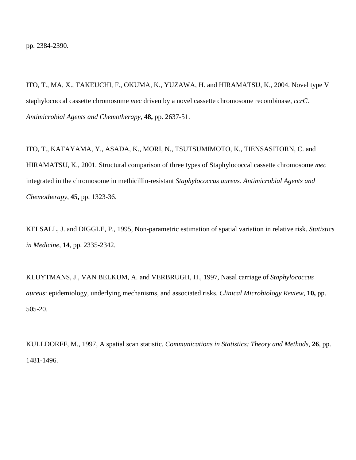ITO, T., MA, X., TAKEUCHI, F., OKUMA, K., YUZAWA, H. and HIRAMATSU, K., 2004. Novel type V staphylococcal cassette chromosome *mec* driven by a novel cassette chromosome recombinase, *ccrC*. *Antimicrobial Agents and Chemotherapy,* **48,** pp. 2637-51.

ITO, T., KATAYAMA, Y., ASADA, K., MORI, N., TSUTSUMIMOTO, K., TIENSASITORN, C. and HIRAMATSU, K., 2001*.* Structural comparison of three types of Staphylococcal cassette chromosome *mec* integrated in the chromosome in methicillin-resistant *Staphylococcus aureus*. *Antimicrobial Agents and Chemotherapy,* **45,** pp. 1323-36.

KELSALL, J. and DIGGLE, P., 1995, Non-parametric estimation of spatial variation in relative risk. *Statistics in Medicine*, **14**, pp. 2335-2342.

KLUYTMANS, J., VAN BELKUM, A. and VERBRUGH, H., 1997, Nasal carriage of *Staphylococcus aureus*: epidemiology, underlying mechanisms, and associated risks. *Clinical Microbiology Review,* **10,** pp. 505-20.

KULLDORFF, M., 1997, A spatial scan statistic. *Communications in Statistics: Theory and Methods*, **26**, pp. 1481-1496.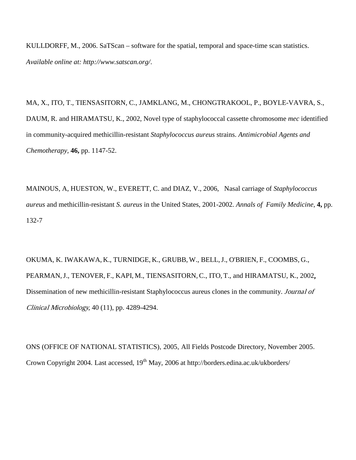KULLDORFF, M., 2006. SaTScan – software for the spatial, temporal and space-time scan statistics. *Available online at: http://www.satscan.org/*.

MA, X., ITO, T., TIENSASITORN, C., JAMKLANG, M., CHONGTRAKOOL, P., BOYLE-VAVRA, S., DAUM, R. and HIRAMATSU, K., 2002, Novel type of staphylococcal cassette chromosome *mec* identified in community-acquired methicillin-resistant *Staphylococcus aureus* strains. *Antimicrobial Agents and Chemotherapy,* **46,** pp. 1147-52.

MAINOUS, A, HUESTON, W., EVERETT, C. and DIAZ, V., 2006, Nasal carriage of *Staphylococcus aureus* and methicillin-resistant *S. aureus* in the United States, 2001-2002. *Annals of Family Medicine,* **4,** pp. 132-7

OKUMA, K. IWAKAWA, K., TURNIDGE, K., GRUBB, W., BELL,J., O'BRIEN, F., COOMBS, G., PEARMAN, J., TENOVER, F., KAPI, M., TIENSASITORN, C., ITO, T., and HIRAMATSU, K., 2002, Dissemination of new methicillin-resistant Staphylococcus aureus clones in the community. Journal of Clinical Microbiology, 40 (11), pp. 4289-4294.

ONS (OFFICE OF NATIONAL STATISTICS), 2005, All Fields Postcode Directory, November 2005. Crown Copyright 2004. Last accessed, 19<sup>th</sup> May, 2006 at http://borders.edina.ac.uk/ukborders/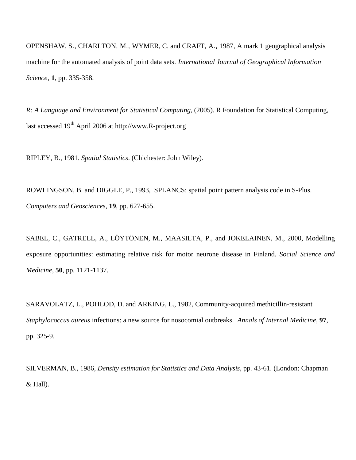OPENSHAW, S., CHARLTON, M., WYMER, C. and CRAFT, A., 1987, A mark 1 geographical analysis machine for the automated analysis of point data sets. *International Journal of Geographical Information Science*, **1**, pp. 335-358.

*R: A Language and Environment for Statistical Computing*, (2005). R Foundation for Statistical Computing, last accessed  $19<sup>th</sup>$  April 2006 at http://www.R-project.org

RIPLEY, B., 1981. *Spatial Statistics*. (Chichester: John Wiley).

ROWLINGSON, B. and DIGGLE, P., 1993, SPLANCS: spatial point pattern analysis code in S-Plus. *Computers and Geosciences*, **19**, pp. 627-655.

SABEL, C., GATRELL, A., LÖYTÖNEN, M., MAASILTA, P., and JOKELAINEN, M., 2000, Modelling exposure opportunities: estimating relative risk for motor neurone disease in Finland. *Social Science and Medicine*, **50**, pp. 1121-1137.

SARAVOLATZ, L., POHLOD, D. and ARKING, L., 1982, Community-acquired methicillin-resistant *Staphylococcus aureus* infections: a new source for nosocomial outbreaks. *Annals of Internal Medicine,* **97**, pp. 325-9.

SILVERMAN, B., 1986, *Density estimation for Statistics and Data Analysis*, pp. 43-61. (London: Chapman & Hall).